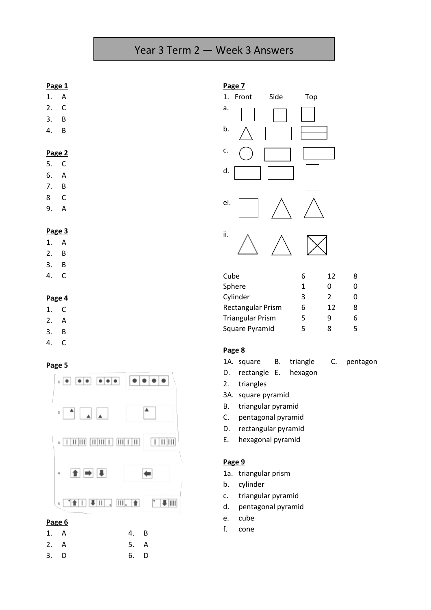# Year 3 Term 2 — Week 3 Answers

#### **Page 1**

- 1. A 2. C
- 3. B
- 4. B

- **Page 2**
- 5. C
- 6. A
- 7. B
- 8 C
- 9. A

#### **Page 3**

- 1. A
- 2. B
- 3. B
- 4. C

### **Page 4**

- 1. C
- 2. A
- 3. B
- 4. C

### **Page 5**



3. D 6. D

| Page 7 |       |      |     |  |  |  |  |  |
|--------|-------|------|-----|--|--|--|--|--|
| 1.     | Front | Side | Top |  |  |  |  |  |
| a.     |       |      |     |  |  |  |  |  |
| b.     |       |      |     |  |  |  |  |  |
| c.     |       |      |     |  |  |  |  |  |
| d.     |       |      |     |  |  |  |  |  |
| ei.    |       |      |     |  |  |  |  |  |
| ii.    |       |      |     |  |  |  |  |  |

| Cube                     | 6 | 12            | 8 |
|--------------------------|---|---------------|---|
| Sphere                   | 1 | Ω             | O |
| Cylinder                 | 3 | $\mathcal{P}$ | n |
| <b>Rectangular Prism</b> | 6 | 12            | 8 |
| <b>Triangular Prism</b>  | 5 | q             | 6 |
| Square Pyramid           | 5 | 8             | 5 |

#### **Page 8**

- 1A. square B. triangle C. pentagon
- D. rectangle E. hexagon
- 2. triangles
- 3A. square pyramid
- B. triangular pyramid
- C. pentagonal pyramid
- D. rectangular pyramid
- E. hexagonal pyramid

#### **Page 9**

- 1a. triangular prism
- b. cylinder
- c. triangular pyramid
- d. pentagonal pyramid
- e. cube
- f. cone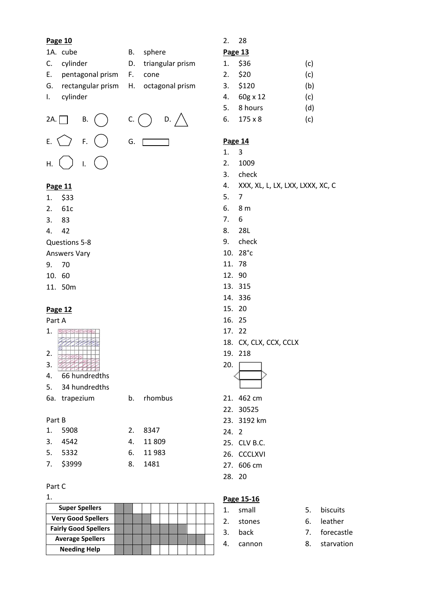#### **Page 10**

- 1A. cube B. sphere
- C. cylinder D. triangular prism
- E. pentagonal prism F. cone
- G. rectangular prism H. octagonal prism
- I. cylinder



### **Page 11**

- 1. \$33
- 2. 61c
- 3. 83
- 4. 42

Questions 5-8

- Answers Vary
- 9. 70
- 10. 60
- 11. 50m

### **Page 12**

## Part A

| Ŧ. |  |
|----|--|
|    |  |
|    |  |

- 2. 3.
- 4. 66 hundredths
- 5. 34 hundredths

6a. trapezium b. rhombus

#### Part B

| 1. 5908   | 2. 8347   |
|-----------|-----------|
| 3. 4542   | 4. 11 809 |
| 5. 5332   | 6. 11 983 |
| 7. \$3999 | 8. 1481   |
|           |           |

#### Part C

| <b>Super Spellers</b>       |  |  |  |  |  |   |
|-----------------------------|--|--|--|--|--|---|
| <b>Very Good Spellers</b>   |  |  |  |  |  |   |
| <b>Fairly Good Spellers</b> |  |  |  |  |  | 3 |
| <b>Average Spellers</b>     |  |  |  |  |  |   |
| <b>Needing Help</b>         |  |  |  |  |  |   |

## 2. 28

#### **Page 13**

| 1. | \$36           | (c) |
|----|----------------|-----|
| 2. | \$20           | (c) |
| 3. | \$120          | (b) |
| 4. | 60g x 12       | (c) |
| 5. | 8 hours        | (d) |
| 6. | $175 \times 8$ | (c) |

## **Page 14**

- 1. 3
- 2. 1009
- 3. check
- 4. XXX, XL, L, LX, LXX, LXXX, XC, C
- 5. 7
- 6. 8 m
- 7. 6
- 8. 28L
- 9. check
- 10. 28°c
- 11. 78
- 12. 90
- 13. 315
- 14. 336
- 15. 20
- 16. 25
- 17. 22
- 18. CX, CLX, CCX, CCLX
- 19. 218



- 21. 462 cm
- 22. 30525
- 23. 3192 km
- 24. 2
- 25. CLV B.C.
- 26. CCCLXVI
- 27. 606 cm
- 28. 20

## **Page 15-16**

- 1. small 5. biscuits 2. stones 6. leather 3. back 7. forecastle 4. cannon 8. starvation
- -
	-
	-